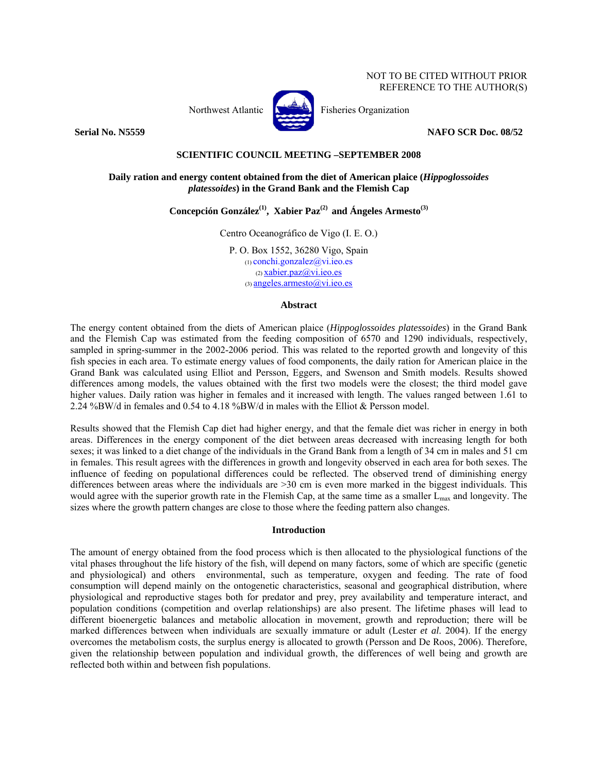

Northwest Atlantic  $\begin{bmatrix} 1 & 1 \\ 1 & 1 \end{bmatrix}$  Fisheries Organization

**Serial No. N5559** NAFO SCR Doc. 08/52

## **SCIENTIFIC COUNCIL MEETING –SEPTEMBER 2008**

# **Daily ration and energy content obtained from the diet of American plaice (***Hippoglossoides platessoides***) in the Grand Bank and the Flemish Cap**

Concepción González<sup>(1)</sup>, Xabier Paz<sup>(2)</sup> and Ángeles Armesto<sup>(3)</sup>

Centro Oceanográfico de Vigo (I. E. O.)

P. O. Box 1552, 36280 Vigo, Spain (1) conchi.gonzalez@vi.ieo.es  $(2)$  xabier.paz $(a)$ vi.ieo.es  $(3)$  angeles.armesto $@$ vi.ieo.es

## **Abstract**

The energy content obtained from the diets of American plaice (*Hippoglossoides platessoides*) in the Grand Bank and the Flemish Cap was estimated from the feeding composition of 6570 and 1290 individuals, respectively, sampled in spring-summer in the 2002-2006 period. This was related to the reported growth and longevity of this fish species in each area. To estimate energy values of food components, the daily ration for American plaice in the Grand Bank was calculated using Elliot and Persson, Eggers, and Swenson and Smith models. Results showed differences among models, the values obtained with the first two models were the closest; the third model gave higher values. Daily ration was higher in females and it increased with length. The values ranged between 1.61 to 2.24 %BW/d in females and 0.54 to 4.18 %BW/d in males with the Elliot & Persson model.

Results showed that the Flemish Cap diet had higher energy, and that the female diet was richer in energy in both areas. Differences in the energy component of the diet between areas decreased with increasing length for both sexes; it was linked to a diet change of the individuals in the Grand Bank from a length of 34 cm in males and 51 cm in females. This result agrees with the differences in growth and longevity observed in each area for both sexes. The influence of feeding on populational differences could be reflected. The observed trend of diminishing energy differences between areas where the individuals are >30 cm is even more marked in the biggest individuals. This would agree with the superior growth rate in the Flemish Cap, at the same time as a smaller L<sub>max</sub> and longevity. The sizes where the growth pattern changes are close to those where the feeding pattern also changes.

### **Introduction**

The amount of energy obtained from the food process which is then allocated to the physiological functions of the vital phases throughout the life history of the fish, will depend on many factors, some of which are specific (genetic and physiological) and others environmental, such as temperature, oxygen and feeding. The rate of food consumption will depend mainly on the ontogenetic characteristics, seasonal and geographical distribution, where physiological and reproductive stages both for predator and prey, prey availability and temperature interact, and population conditions (competition and overlap relationships) are also present. The lifetime phases will lead to different bioenergetic balances and metabolic allocation in movement, growth and reproduction; there will be marked differences between when individuals are sexually immature or adult (Lester *et al*. 2004). If the energy overcomes the metabolism costs, the surplus energy is allocated to growth (Persson and De Roos, 2006). Therefore, given the relationship between population and individual growth, the differences of well being and growth are reflected both within and between fish populations.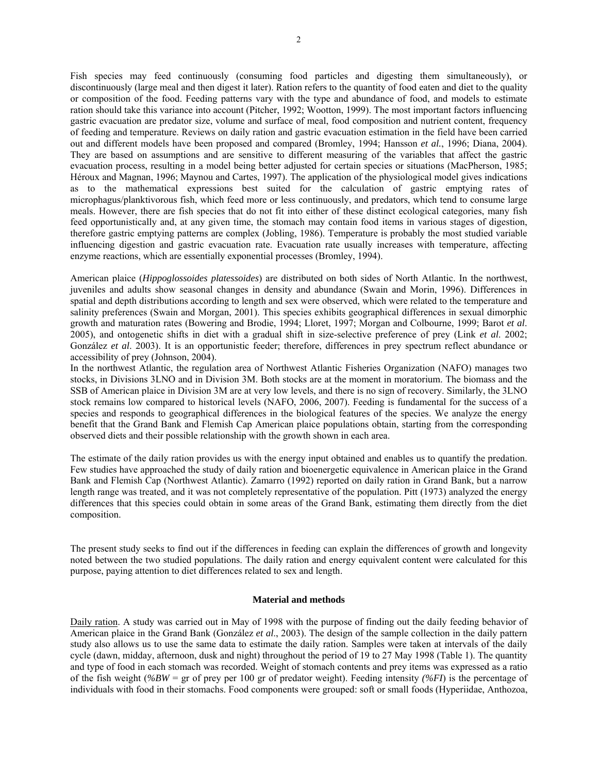Fish species may feed continuously (consuming food particles and digesting them simultaneously), or discontinuously (large meal and then digest it later). Ration refers to the quantity of food eaten and diet to the quality or composition of the food. Feeding patterns vary with the type and abundance of food, and models to estimate ration should take this variance into account (Pitcher, 1992; Wootton, 1999). The most important factors influencing gastric evacuation are predator size, volume and surface of meal, food composition and nutrient content, frequency of feeding and temperature. Reviews on daily ration and gastric evacuation estimation in the field have been carried out and different models have been proposed and compared (Bromley, 1994; Hansson *et al.*, 1996; Diana, 2004). They are based on assumptions and are sensitive to different measuring of the variables that affect the gastric evacuation process, resulting in a model being better adjusted for certain species or situations (MacPherson, 1985; Héroux and Magnan, 1996; Maynou and Cartes, 1997). The application of the physiological model gives indications as to the mathematical expressions best suited for the calculation of gastric emptying rates of microphagus/planktivorous fish, which feed more or less continuously, and predators, which tend to consume large meals. However, there are fish species that do not fit into either of these distinct ecological categories, many fish feed opportunistically and, at any given time, the stomach may contain food items in various stages of digestion, therefore gastric emptying patterns are complex (Jobling, 1986). Temperature is probably the most studied variable influencing digestion and gastric evacuation rate. Evacuation rate usually increases with temperature, affecting enzyme reactions, which are essentially exponential processes (Bromley, 1994).

American plaice (*Hippoglossoides platessoides*) are distributed on both sides of North Atlantic. In the northwest, juveniles and adults show seasonal changes in density and abundance (Swain and Morin, 1996). Differences in spatial and depth distributions according to length and sex were observed, which were related to the temperature and salinity preferences (Swain and Morgan, 2001). This species exhibits geographical differences in sexual dimorphic growth and maturation rates (Bowering and Brodie, 1994; Lloret, 1997; Morgan and Colbourne, 1999; Barot *et al*. 2005), and ontogenetic shifts in diet with a gradual shift in size-selective preference of prey (Link *et al*. 2002; González *et al*. 2003). It is an opportunistic feeder; therefore, differences in prey spectrum reflect abundance or accessibility of prey (Johnson, 2004).

In the northwest Atlantic, the regulation area of Northwest Atlantic Fisheries Organization (NAFO) manages two stocks, in Divisions 3LNO and in Division 3M. Both stocks are at the moment in moratorium. The biomass and the SSB of American plaice in Division 3M are at very low levels, and there is no sign of recovery. Similarly, the 3LNO stock remains low compared to historical levels (NAFO, 2006, 2007). Feeding is fundamental for the success of a species and responds to geographical differences in the biological features of the species. We analyze the energy benefit that the Grand Bank and Flemish Cap American plaice populations obtain, starting from the corresponding observed diets and their possible relationship with the growth shown in each area.

The estimate of the daily ration provides us with the energy input obtained and enables us to quantify the predation. Few studies have approached the study of daily ration and bioenergetic equivalence in American plaice in the Grand Bank and Flemish Cap (Northwest Atlantic). Zamarro (1992) reported on daily ration in Grand Bank, but a narrow length range was treated, and it was not completely representative of the population. Pitt (1973) analyzed the energy differences that this species could obtain in some areas of the Grand Bank, estimating them directly from the diet composition.

The present study seeks to find out if the differences in feeding can explain the differences of growth and longevity noted between the two studied populations. The daily ration and energy equivalent content were calculated for this purpose, paying attention to diet differences related to sex and length.

### **Material and methods**

Daily ration. A study was carried out in May of 1998 with the purpose of finding out the daily feeding behavior of American plaice in the Grand Bank (González *et al*., 2003). The design of the sample collection in the daily pattern study also allows us to use the same data to estimate the daily ration. Samples were taken at intervals of the daily cycle (dawn, midday, afternoon, dusk and night) throughout the period of 19 to 27 May 1998 (Table 1). The quantity and type of food in each stomach was recorded. Weight of stomach contents and prey items was expressed as a ratio of the fish weight (*%BW* = gr of prey per 100 gr of predator weight). Feeding intensity *(%FI*) is the percentage of individuals with food in their stomachs. Food components were grouped: soft or small foods (Hyperiidae, Anthozoa,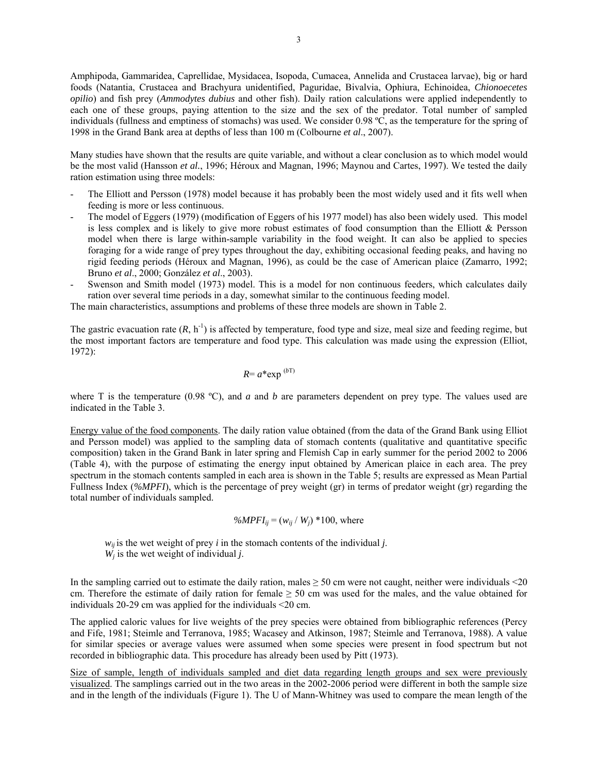Amphipoda, Gammaridea, Caprellidae, Mysidacea, Isopoda, Cumacea, Annelida and Crustacea larvae), big or hard foods (Natantia, Crustacea and Brachyura unidentified, Paguridae, Bivalvia, Ophiura, Echinoidea, *Chionoecetes opilio*) and fish prey (*Ammodytes dubius* and other fish). Daily ration calculations were applied independently to each one of these groups, paying attention to the size and the sex of the predator. Total number of sampled individuals (fullness and emptiness of stomachs) was used. We consider 0.98 ºC, as the temperature for the spring of 1998 in the Grand Bank area at depths of less than 100 m (Colbourne *et al*., 2007).

Many studies have shown that the results are quite variable, and without a clear conclusion as to which model would be the most valid (Hansson *et al.*, 1996; Héroux and Magnan, 1996; Maynou and Cartes, 1997). We tested the daily ration estimation using three models:

- The Elliott and Persson (1978) model because it has probably been the most widely used and it fits well when feeding is more or less continuous.
- The model of Eggers (1979) (modification of Eggers of his 1977 model) has also been widely used. This model is less complex and is likely to give more robust estimates of food consumption than the Elliott & Persson model when there is large within-sample variability in the food weight. It can also be applied to species foraging for a wide range of prey types throughout the day, exhibiting occasional feeding peaks, and having no rigid feeding periods (Héroux and Magnan, 1996), as could be the case of American plaice (Zamarro, 1992; Bruno *et al*., 2000; González *et al*., 2003).
- Swenson and Smith model (1973) model. This is a model for non continuous feeders, which calculates daily ration over several time periods in a day, somewhat similar to the continuous feeding model.

The main characteristics, assumptions and problems of these three models are shown in Table 2.

The gastric evacuation rate  $(R, h^{-1})$  is affected by temperature, food type and size, meal size and feeding regime, but the most important factors are temperature and food type. This calculation was made using the expression (Elliot, 1972):

$$
R = a^* \exp^{(bT)}
$$

where T is the temperature (0.98 °C), and  $a$  and  $b$  are parameters dependent on prey type. The values used are indicated in the Table 3.

Energy value of the food components. The daily ration value obtained (from the data of the Grand Bank using Elliot and Persson model) was applied to the sampling data of stomach contents (qualitative and quantitative specific composition) taken in the Grand Bank in later spring and Flemish Cap in early summer for the period 2002 to 2006 (Table 4), with the purpose of estimating the energy input obtained by American plaice in each area. The prey spectrum in the stomach contents sampled in each area is shown in the Table 5; results are expressed as Mean Partial Fullness Index (*%MPFI*), which is the percentage of prey weight (gr) in terms of predator weight (gr) regarding the total number of individuals sampled.

$$
\%MPFI_{ij} = (w_{ij} / W_j) * 100
$$
, where

 $w_{ij}$  is the wet weight of prey *i* in the stomach contents of the individual *j*.  $W_i$  is the wet weight of individual *j*.

In the sampling carried out to estimate the daily ration, males  $\geq$  50 cm were not caught, neither were individuals <20 cm. Therefore the estimate of daily ration for female  $\geq$  50 cm was used for the males, and the value obtained for individuals 20-29 cm was applied for the individuals <20 cm.

The applied caloric values for live weights of the prey species were obtained from bibliographic references (Percy and Fife, 1981; Steimle and Terranova, 1985; Wacasey and Atkinson, 1987; Steimle and Terranova, 1988). A value for similar species or average values were assumed when some species were present in food spectrum but not recorded in bibliographic data. This procedure has already been used by Pitt (1973).

Size of sample, length of individuals sampled and diet data regarding length groups and sex were previously visualized. The samplings carried out in the two areas in the 2002-2006 period were different in both the sample size and in the length of the individuals (Figure 1). The U of Mann-Whitney was used to compare the mean length of the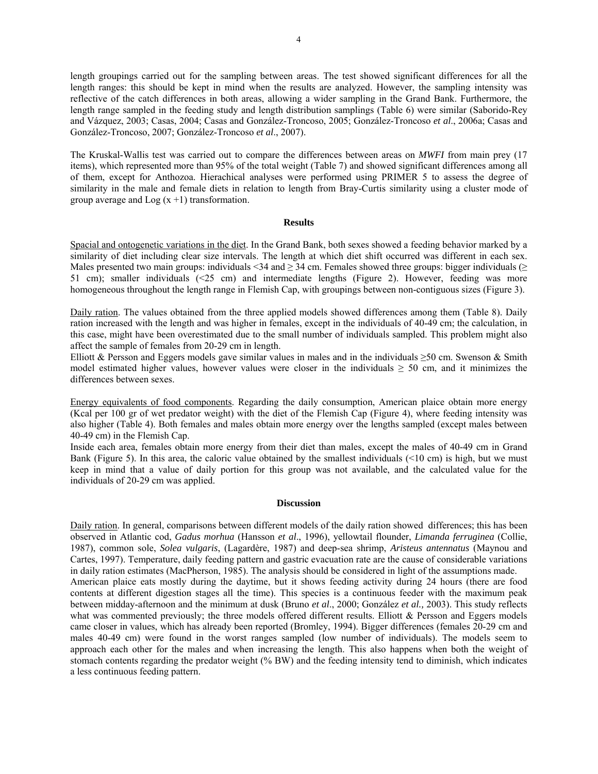length groupings carried out for the sampling between areas. The test showed significant differences for all the length ranges: this should be kept in mind when the results are analyzed. However, the sampling intensity was reflective of the catch differences in both areas, allowing a wider sampling in the Grand Bank. Furthermore, the length range sampled in the feeding study and length distribution samplings (Table 6) were similar (Saborido-Rey and Vázquez, 2003; Casas, 2004; Casas and González-Troncoso, 2005; González-Troncoso *et al*., 2006a; Casas and González-Troncoso, 2007; González-Troncoso *et al*., 2007).

The Kruskal-Wallis test was carried out to compare the differences between areas on *MWFI* from main prey (17 items), which represented more than 95% of the total weight (Table 7) and showed significant differences among all of them, except for Anthozoa. Hierachical analyses were performed using PRIMER 5 to assess the degree of similarity in the male and female diets in relation to length from Bray-Curtis similarity using a cluster mode of group average and  $Log(x + 1)$  transformation.

#### **Results**

Spacial and ontogenetic variations in the diet. In the Grand Bank, both sexes showed a feeding behavior marked by a similarity of diet including clear size intervals. The length at which diet shift occurred was different in each sex. Males presented two main groups: individuals <34 and  $\geq$  34 cm. Females showed three groups: bigger individuals ( $\geq$ 51 cm); smaller individuals (<25 cm) and intermediate lengths (Figure 2). However, feeding was more homogeneous throughout the length range in Flemish Cap, with groupings between non-contiguous sizes (Figure 3).

Daily ration. The values obtained from the three applied models showed differences among them (Table 8). Daily ration increased with the length and was higher in females, except in the individuals of 40-49 cm; the calculation, in this case, might have been overestimated due to the small number of individuals sampled. This problem might also affect the sample of females from 20-29 cm in length.

Elliott & Persson and Eggers models gave similar values in males and in the individuals  $\geq 50$  cm. Swenson & Smith model estimated higher values, however values were closer in the individuals  $\geq$  50 cm, and it minimizes the differences between sexes.

Energy equivalents of food components. Regarding the daily consumption, American plaice obtain more energy (Kcal per 100 gr of wet predator weight) with the diet of the Flemish Cap (Figure 4), where feeding intensity was also higher (Table 4). Both females and males obtain more energy over the lengths sampled (except males between 40-49 cm) in the Flemish Cap.

Inside each area, females obtain more energy from their diet than males, except the males of 40-49 cm in Grand Bank (Figure 5). In this area, the caloric value obtained by the smallest individuals  $(10 \text{ cm})$  is high, but we must keep in mind that a value of daily portion for this group was not available, and the calculated value for the individuals of 20-29 cm was applied.

#### **Discussion**

Daily ration. In general, comparisons between different models of the daily ration showed differences; this has been observed in Atlantic cod, *Gadus morhua* (Hansson *et al*., 1996), yellowtail flounder, *Limanda ferruginea* (Collie, 1987), common sole, *Solea vulgaris*, (Lagardère, 1987) and deep-sea shrimp, *Aristeus antennatus* (Maynou and Cartes, 1997). Temperature, daily feeding pattern and gastric evacuation rate are the cause of considerable variations in daily ration estimates (MacPherson, 1985). The analysis should be considered in light of the assumptions made. American plaice eats mostly during the daytime, but it shows feeding activity during 24 hours (there are food contents at different digestion stages all the time). This species is a continuous feeder with the maximum peak between midday-afternoon and the minimum at dusk (Bruno *et al*., 2000; González *et al.,* 2003). This study reflects what was commented previously; the three models offered different results. Elliott & Persson and Eggers models came closer in values, which has already been reported (Bromley, 1994). Bigger differences (females 20-29 cm and males 40-49 cm) were found in the worst ranges sampled (low number of individuals). The models seem to approach each other for the males and when increasing the length. This also happens when both the weight of stomach contents regarding the predator weight (% BW) and the feeding intensity tend to diminish, which indicates a less continuous feeding pattern.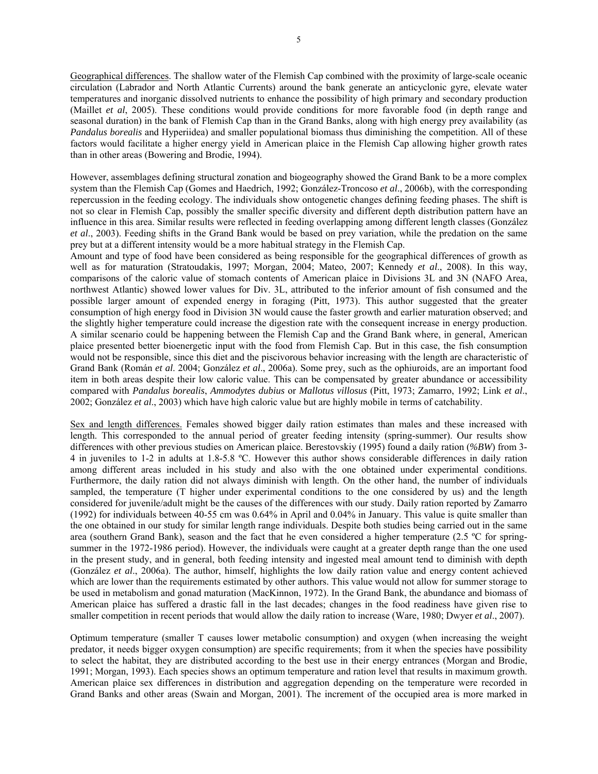Geographical differences. The shallow water of the Flemish Cap combined with the proximity of large-scale oceanic circulation (Labrador and North Atlantic Currents) around the bank generate an anticyclonic gyre, elevate water temperatures and inorganic dissolved nutrients to enhance the possibility of high primary and secondary production (Maillet *et al*, 2005). These conditions would provide conditions for more favorable food (in depth range and seasonal duration) in the bank of Flemish Cap than in the Grand Banks, along with high energy prey availability (as *Pandalus borealis* and Hyperiidea) and smaller populational biomass thus diminishing the competition. All of these factors would facilitate a higher energy yield in American plaice in the Flemish Cap allowing higher growth rates than in other areas (Bowering and Brodie, 1994).

However, assemblages defining structural zonation and biogeography showed the Grand Bank to be a more complex system than the Flemish Cap (Gomes and Haedrich, 1992; González-Troncoso *et al*., 2006b), with the corresponding repercussion in the feeding ecology. The individuals show ontogenetic changes defining feeding phases. The shift is not so clear in Flemish Cap, possibly the smaller specific diversity and different depth distribution pattern have an influence in this area. Similar results were reflected in feeding overlapping among different length classes (González *et al*., 2003). Feeding shifts in the Grand Bank would be based on prey variation, while the predation on the same prey but at a different intensity would be a more habitual strategy in the Flemish Cap.

Amount and type of food have been considered as being responsible for the geographical differences of growth as well as for maturation (Stratoudakis, 1997; Morgan, 2004; Mateo, 2007; Kennedy *et al*., 2008). In this way, comparisons of the caloric value of stomach contents of American plaice in Divisions 3L and 3N (NAFO Area, northwest Atlantic) showed lower values for Div. 3L, attributed to the inferior amount of fish consumed and the possible larger amount of expended energy in foraging (Pitt, 1973). This author suggested that the greater consumption of high energy food in Division 3N would cause the faster growth and earlier maturation observed; and the slightly higher temperature could increase the digestion rate with the consequent increase in energy production. A similar scenario could be happening between the Flemish Cap and the Grand Bank where, in general, American plaice presented better bioenergetic input with the food from Flemish Cap. But in this case, the fish consumption would not be responsible, since this diet and the piscivorous behavior increasing with the length are characteristic of Grand Bank (Román *et al*. 2004; González *et al*., 2006a). Some prey, such as the ophiuroids, are an important food item in both areas despite their low caloric value. This can be compensated by greater abundance or accessibility compared with *Pandalus borealis*, *Ammodytes dubius* or *Mallotus villosus* (Pitt, 1973; Zamarro, 1992; Link *et al*., 2002; González *et al*., 2003) which have high caloric value but are highly mobile in terms of catchability.

Sex and length differences. Females showed bigger daily ration estimates than males and these increased with length. This corresponded to the annual period of greater feeding intensity (spring-summer). Our results show differences with other previous studies on American plaice. Berestovskiy (1995) found a daily ration (*%BW*) from 3- 4 in juveniles to 1-2 in adults at 1.8-5.8 ºC. However this author shows considerable differences in daily ration among different areas included in his study and also with the one obtained under experimental conditions. Furthermore, the daily ration did not always diminish with length. On the other hand, the number of individuals sampled, the temperature (T higher under experimental conditions to the one considered by us) and the length considered for juvenile/adult might be the causes of the differences with our study. Daily ration reported by Zamarro (1992) for individuals between 40-55 cm was 0.64% in April and 0.04% in January. This value is quite smaller than the one obtained in our study for similar length range individuals. Despite both studies being carried out in the same area (southern Grand Bank), season and the fact that he even considered a higher temperature (2.5 ºC for springsummer in the 1972-1986 period). However, the individuals were caught at a greater depth range than the one used in the present study, and in general, both feeding intensity and ingested meal amount tend to diminish with depth (González *et al*., 2006a). The author, himself, highlights the low daily ration value and energy content achieved which are lower than the requirements estimated by other authors. This value would not allow for summer storage to be used in metabolism and gonad maturation (MacKinnon, 1972). In the Grand Bank, the abundance and biomass of American plaice has suffered a drastic fall in the last decades; changes in the food readiness have given rise to smaller competition in recent periods that would allow the daily ration to increase (Ware, 1980; Dwyer *et al*., 2007).

Optimum temperature (smaller T causes lower metabolic consumption) and oxygen (when increasing the weight predator, it needs bigger oxygen consumption) are specific requirements; from it when the species have possibility to select the habitat, they are distributed according to the best use in their energy entrances (Morgan and Brodie, 1991; Morgan, 1993). Each species shows an optimum temperature and ration level that results in maximum growth. American plaice sex differences in distribution and aggregation depending on the temperature were recorded in Grand Banks and other areas (Swain and Morgan, 2001). The increment of the occupied area is more marked in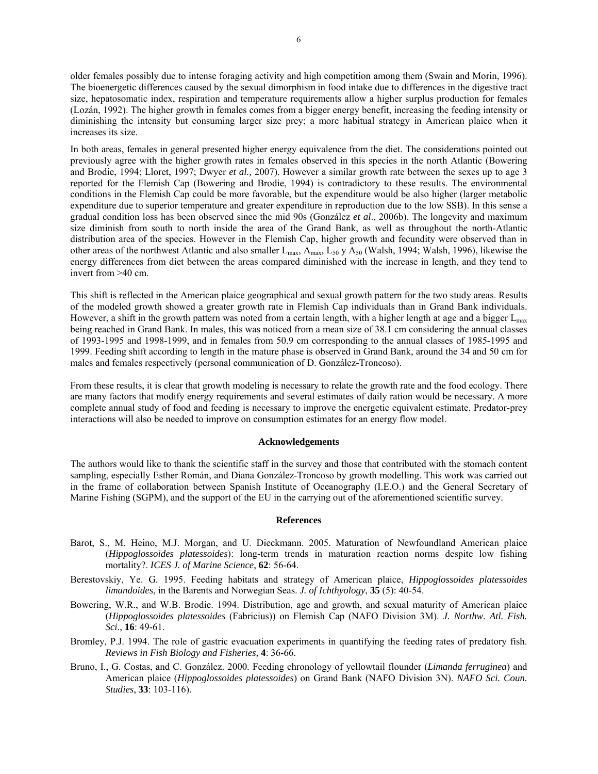older females possibly due to intense foraging activity and high competition among them (Swain and Morin, 1996). The bioenergetic differences caused by the sexual dimorphism in food intake due to differences in the digestive tract size, hepatosomatic index, respiration and temperature requirements allow a higher surplus production for females (Lozán, 1992). The higher growth in females comes from a bigger energy benefit, increasing the feeding intensity or diminishing the intensity but consuming larger size prey; a more habitual strategy in American plaice when it increases its size.

In both areas, females in general presented higher energy equivalence from the diet. The considerations pointed out previously agree with the higher growth rates in females observed in this species in the north Atlantic (Bowering and Brodie, 1994; Lloret, 1997; Dwyer *et al.,* 2007). However a similar growth rate between the sexes up to age 3 reported for the Flemish Cap (Bowering and Brodie, 1994) is contradictory to these results. The environmental conditions in the Flemish Cap could be more favorable, but the expenditure would be also higher (larger metabolic expenditure due to superior temperature and greater expenditure in reproduction due to the low SSB). In this sense a gradual condition loss has been observed since the mid 90s (González *et al*., 2006b). The longevity and maximum size diminish from south to north inside the area of the Grand Bank, as well as throughout the north-Atlantic distribution area of the species. However in the Flemish Cap, higher growth and fecundity were observed than in other areas of the northwest Atlantic and also smaller  $L_{\text{max}}$ ,  $A_{\text{max}}$ ,  $L_{50}$  y  $A_{50}$  (Walsh, 1994; Walsh, 1996), likewise the energy differences from diet between the areas compared diminished with the increase in length, and they tend to invert from >40 cm.

This shift is reflected in the American plaice geographical and sexual growth pattern for the two study areas. Results of the modeled growth showed a greater growth rate in Flemish Cap individuals than in Grand Bank individuals. However, a shift in the growth pattern was noted from a certain length, with a higher length at age and a bigger  $L_{\text{max}}$ being reached in Grand Bank. In males, this was noticed from a mean size of 38.1 cm considering the annual classes of 1993-1995 and 1998-1999, and in females from 50.9 cm corresponding to the annual classes of 1985-1995 and 1999. Feeding shift according to length in the mature phase is observed in Grand Bank, around the 34 and 50 cm for males and females respectively (personal communication of D. González-Troncoso).

From these results, it is clear that growth modeling is necessary to relate the growth rate and the food ecology. There are many factors that modify energy requirements and several estimates of daily ration would be necessary. A more complete annual study of food and feeding is necessary to improve the energetic equivalent estimate. Predator-prey interactions will also be needed to improve on consumption estimates for an energy flow model.

### **Acknowledgements**

The authors would like to thank the scientific staff in the survey and those that contributed with the stomach content sampling, especially Esther Román, and Diana González-Troncoso by growth modelling. This work was carried out in the frame of collaboration between Spanish Institute of Oceanography (I.E.O.) and the General Secretary of Marine Fishing (SGPM), and the support of the EU in the carrying out of the aforementioned scientific survey.

#### **References**

- Barot, S., M. Heino, M.J. Morgan, and U. Dieckmann. 2005. Maturation of Newfoundland American plaice (*Hippoglossoides platessoides*): long-term trends in maturation reaction norms despite low fishing mortality?. *ICES J. of Marine Science*, **62**: 56-64.
- Berestovskiy, Ye. G. 1995. Feeding habitats and strategy of American plaice, *Hippoglossoides platessoides limandoides*, in the Barents and Norwegian Seas. *J. of Ichthyology*, **35** (5): 40-54.
- Bowering, W.R., and W.B. Brodie. 1994. Distribution, age and growth, and sexual maturity of American plaice (*Hippoglossoides platessoides* (Fabricius)) on Flemish Cap (NAFO Division 3M). *J. Northw. Atl. Fish. Sci*., **16**: 49-61.
- Bromley, P.J. 1994. The role of gastric evacuation experiments in quantifying the feeding rates of predatory fish. *Reviews in Fish Biology and Fisheries,* **4**: 36-66.
- Bruno, I., G. Costas, and C. González. 2000. Feeding chronology of yellowtail flounder (*Limanda ferruginea*) and American plaice (*Hippoglossoides platessoides*) on Grand Bank (NAFO Division 3N). *NAFO Sci. Coun. Studies*, **33**: 103-116).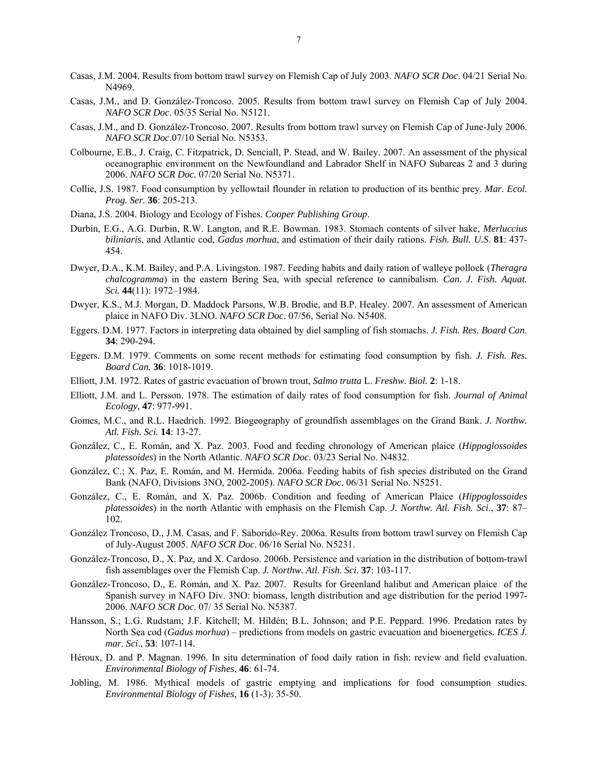- Casas, J.M. 2004. Results from bottom trawl survey on Flemish Cap of July 2003. *NAFO SCR Doc*. 04/21 Serial No. N4969.
- Casas, J.M., and D. González-Troncoso. 2005. Results from bottom trawl survey on Flemish Cap of July 2004. *NAFO SCR Doc*. 05/35 Serial No. N5121.
- Casas, J.M., and D. González-Troncoso. 2007. Results from bottom trawl survey on Flemish Cap of June-July 2006. *NAFO SCR Doc*.07/10 Serial No. N5353.
- Colbourne, E.B., J. Craig, C. Fitzpatrick, D. Senciall, P. Stead, and W. Bailey. 2007. An assessment of the physical oceanographic environment on the Newfoundland and Labrador Shelf in NAFO Subareas 2 and 3 during 2006. *NAFO SCR Doc.* 07/20 Serial No. N5371.
- Collie, J.S. 1987. Food consumption by yellowtail flounder in relation to production of its benthic prey. *Mar. Ecol. Prog. Ser.* **36**: 205-213.
- Diana, J.S. 2004. Biology and Ecology of Fishes. *Cooper Publishing Group*.
- Durbin, E.G., A.G. Durbin, R.W. Langton, and R.E. Bowman. 1983. Stomach contents of silver hake, *Merluccius biliniaris*, and Atlantic cod, *Gadus morhua*, and estimation of their daily rations. *Fish. Bull. U.S*. **81**: 437- 454.
- Dwyer, D.A., K.M. Bailey, and P.A. Livingston. 1987. Feeding habits and daily ration of walleye pollock (*Theragra chalcogramma*) in the eastern Bering Sea, with special reference to cannibalism. *Can. J. Fish. Aquat. Sci.* **44**(11): 1972–1984.
- Dwyer, K.S., M.J. Morgan, D. Maddock Parsons, W.B. Brodie, and B.P. Healey. 2007. An assessment of American plaice in NAFO Div. 3LNO. *NAFO SCR Doc*. 07/56, Serial No. N5408.
- Eggers. D.M. 1977. Factors in interpreting data obtained by diel sampling of fish stomachs. *J. Fish. Res. Board Can*. **34**: 290-294.
- Eggers. D.M. 1979. Comments on some recent methods for estimating food consumption by fish. *J. Fish. Res. Board Can.* **36**: 1018-1019.
- Elliott, J.M. 1972. Rates of gastric evacuation of brown trout, *Salmo trutta* L. *Freshw. Biol.* **2**: 1-18.
- Elliott, J.M. and L. Persson. 1978. The estimation of daily rates of food consumption for fish. *Journal of Animal Ecology*, **47**: 977-991.
- Gomes, M.C., and R.L. Haedrich. 1992. Biogeography of groundfish assemblages on the Grand Bank. *J. Northw. Atl. Fish. Sci.* **14**: 13-27.
- González, C., E. Román, and X. Paz. 2003. Food and feeding chronology of American plaice (*Hippoglossoides platessoides*) in the North Atlantic. *NAFO SCR Doc.* 03/23 Serial No. N4832.
- González, C.; X. Paz, E. Román, and M. Hermida. 2006a. Feeding habits of fish species distributed on the Grand Bank (NAFO, Divisions 3NO, 2002-2005). *NAFO SCR Doc*. 06/31 Serial No. N5251.
- González, C., E. Román, and X. Paz. 2006b. Condition and feeding of American Plaice (*Hippoglossoides platessoides*) in the north Atlantic with emphasis on the Flemish Cap. *J. Northw. Atl. Fish. Sci*., **37**: 87– 102.
- González Troncoso, D., J.M. Casas, and F. Saborido-Rey. 2006a. Results from bottom trawl survey on Flemish Cap of July-August 2005. *NAFO SCR Doc*. 06/16 Serial No. N5231.
- González-Troncoso, D., X. Paz, and X. Cardoso. 2006b. Persistence and variation in the distribution of bottom-trawl fish assemblages over the Flemish Cap. *J. Northw. Atl. Fish. Sci.* **37**: 103-117.
- González-Troncoso, D., E. Román, and X. Paz. 2007. Results for Greenland halibut and American plaice of the Spanish survey in NAFO Div. 3NO: biomass, length distribution and age distribution for the period 1997- 2006. *NAFO SCR Doc*. 07/ 35 Serial No. N5387.
- Hansson, S.; L.G. Rudstam; J.F. Kitchell; M. Hildén; B.L. Johnson; and P.E. Peppard. 1996. Predation rates by North Sea cod (*Gadus morhua*) – predictions from models on gastric evacuation and bioenergetics*. ICES J. mar. Sci*., **53**: 107-114.
- Héroux, D. and P. Magnan. 1996. In situ determination of food daily ration in fish: review and field evaluation. *Environmental Biology of Fishes*, **46**: 61-74.
- Jobling, M. 1986. Mythical models of gastric emptying and implications for food consumption studies. *Environmental Biology of Fishes*, **16** (1-3): 35-50.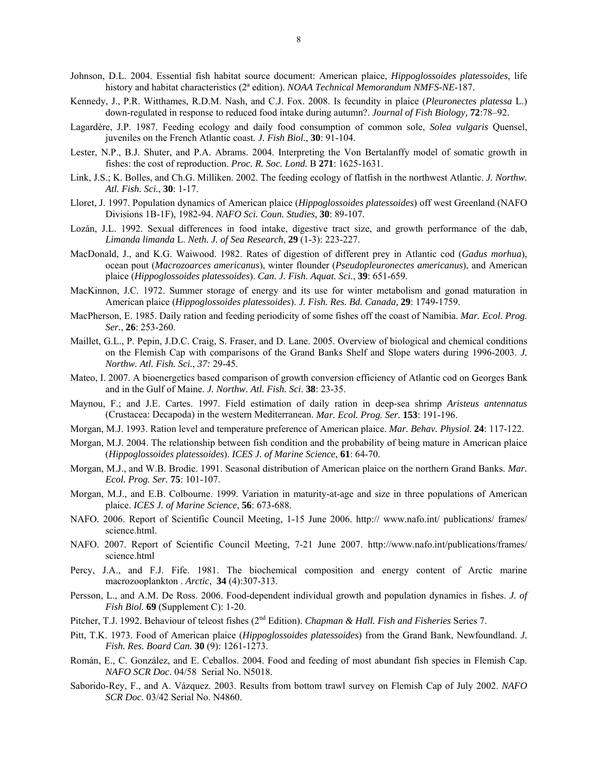- Johnson, D.L. 2004. Essential fish habitat source document: American plaice, *Hippoglossoides platessoides*, life history and habitat characteristics (2ª edition). *NOAA Technical Memorandum NMFS-NE*-187.
- Kennedy, J., P.R. Witthames, R.D.M. Nash, and C.J. Fox. 2008. Is fecundity in plaice (*Pleuronectes platessa* L.) down-regulated in response to reduced food intake during autumn?. *Journal of Fish Biology,* **72**:78–92.
- Lagardère, J.P. 1987. Feeding ecology and daily food consumption of common sole, *Solea vulgaris* Quensel, juveniles on the French Atlantic coast*. J. Fish Biol.*, **30**: 91-104.
- Lester, N.P., B.J. Shuter, and P.A. Abrams. 2004. Interpreting the Von Bertalanffy model of somatic growth in fishes: the cost of reproduction. *Proc. R. Soc. Lond.* B **271**: 1625-1631.
- Link, J.S.; K. Bolles, and Ch.G. Milliken. 2002. The feeding ecology of flatfish in the northwest Atlantic. *J. Northw. Atl. Fish. Sci.*, **30**: 1-17.
- Lloret, J. 1997. Population dynamics of American plaice (*Hippoglossoides platessoides*) off west Greenland (NAFO Divisions 1B-1F), 1982-94. *NAFO Sci. Coun. Studies*, **30**: 89-107.
- Lozán, J.L. 1992. Sexual differences in food intake, digestive tract size, and growth performance of the dab, *Limanda limanda* L. *Neth. J. of Sea Research*, **29** (1-3): 223-227.
- MacDonald, J., and K.G. Waiwood. 1982. Rates of digestion of different prey in Atlantic cod (*Gadus morhua*), ocean pout (*Macrozoarces americanus*), winter flounder (*Pseudopleuronectes americanus*), and American plaice (*Hippoglossoides platessoides*). *Can. J. Fish. Aquat. Sci*., **39**: 651-659.
- MacKinnon, J.C. 1972. Summer storage of energy and its use for winter metabolism and gonad maturation in American plaice (*Hippoglossoides platessoides*). *J. Fish. Res. Bd. Canada,* **29**: 1749-1759.
- MacPherson, E. 1985. Daily ration and feeding periodicity of some fishes off the coast of Namibia. *Mar. Ecol. Prog. Ser.*, **26**: 253-260.
- Maillet, G.L., P. Pepin, J.D.C. Craig, S. Fraser, and D. Lane. 2005. Overview of biological and chemical conditions on the Flemish Cap with comparisons of the Grand Banks Shelf and Slope waters during 1996-2003. *J. Northw. Atl. Fish. Sci.*, *37:* 29-45.
- Mateo, I. 2007. A bioenergetics based comparison of growth conversion efficiency of Atlantic cod on Georges Bank and in the Gulf of Maine. *J. Northw. Atl. Fish. Sci*. **38**: 23-35.
- Maynou, F.; and J.E. Cartes. 1997. Field estimation of daily ration in deep-sea shrimp *Aristeus antennatus* (Crustacea: Decapoda) in the western Mediterranean. *Mar. Ecol. Prog. Ser.* **153**: 191-196.
- Morgan, M.J. 1993. Ration level and temperature preference of American plaice. *Mar. Behav. Physiol*. **24**: 117-122.
- Morgan, M.J. 2004. The relationship between fish condition and the probability of being mature in American plaice (*Hippoglossoides platessoides*). *ICES J. of Marine Science*, **61**: 64-70.
- Morgan, M.J., and W.B. Brodie. 1991. Seasonal distribution of American plaice on the northern Grand Banks. *Mar. Ecol. Prog. Ser.* **75**: 101-107.
- Morgan, M.J., and E.B. Colbourne. 1999. Variation in maturity-at-age and size in three populations of American plaice. *ICES J. of Marine Science*, **56**: 673-688.
- NAFO. 2006. Report of Scientific Council Meeting, 1-15 June 2006. http:// www.nafo.int/ publications/ frames/ science.html.
- NAFO. 2007. Report of Scientific Council Meeting, 7-21 June 2007. http://www.nafo.int/publications/frames/ science.html
- Percy, J.A., and F.J. Fife. 1981. The biochemical composition and energy content of Arctic marine macrozooplankton . *Arctic*, **34** (4):307-313.
- Persson, L., and A.M. De Ross. 2006. Food-dependent individual growth and population dynamics in fishes. *J. of Fish Biol.* **69** (Supplement C): 1-20.
- Pitcher, T.J. 1992. Behaviour of teleost fishes (2<sup>nd</sup> Edition). *Chapman & Hall. Fish and Fisheries* Series 7.
- Pitt, T.K. 1973. Food of American plaice (*Hippoglossoides platessoides*) from the Grand Bank, Newfoundland. *J. Fish. Res. Board Can.* **30** (9): 1261-1273.
- Román, E., C. González, and E. Ceballos. 2004. Food and feeding of most abundant fish species in Flemish Cap. *NAFO SCR Doc*. 04/58 Serial No. N5018.
- Saborido-Rey, F., and A. Vázquez. 2003. Results from bottom trawl survey on Flemish Cap of July 2002. *NAFO SCR Doc.* 03/42 Serial No. N4860.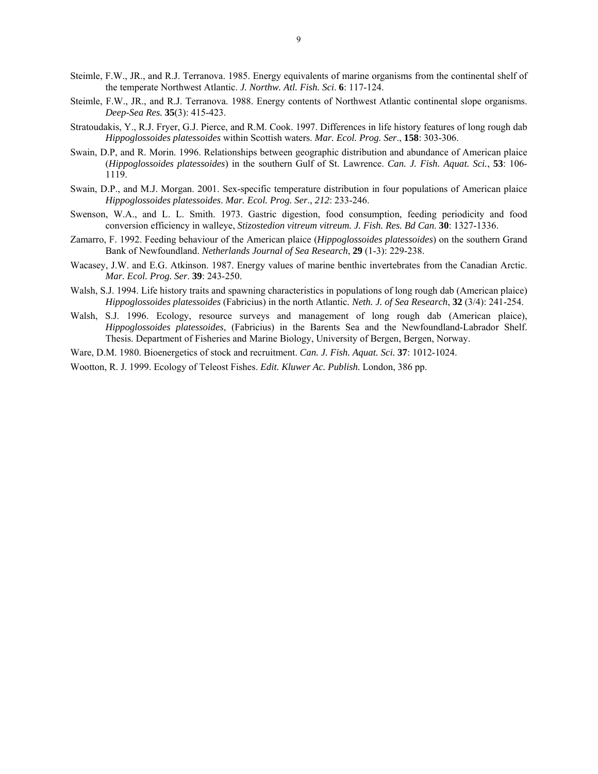- Steimle, F.W., JR., and R.J. Terranova. 1985. Energy equivalents of marine organisms from the continental shelf of the temperate Northwest Atlantic. *J. Northw. Atl. Fish. Sci*. **6**: 117-124.
- Steimle, F.W., JR., and R.J. Terranova. 1988. Energy contents of Northwest Atlantic continental slope organisms. *Deep-Sea Res.* **35**(3): 415-423.
- Stratoudakis, Y., R.J. Fryer, G.J. Pierce, and R.M. Cook. 1997. Differences in life history features of long rough dab *Hippoglossoides platessoides* within Scottish waters. *Mar. Ecol. Prog. Ser*., **158**: 303-306.
- Swain, D.P, and R. Morin. 1996. Relationships between geographic distribution and abundance of American plaice (*Hippoglossoides platessoides*) in the southern Gulf of St. Lawrence. *Can. J. Fish. Aquat. Sci.*, **53**: 106- 1119.
- Swain, D.P., and M.J. Morgan. 2001. Sex-specific temperature distribution in four populations of American plaice *Hippoglossoides platessoides*. *Mar. Ecol. Prog. Ser*., *212*: 233-246.
- Swenson, W.A., and L. L. Smith. 1973. Gastric digestion, food consumption, feeding periodicity and food conversion efficiency in walleye, *Stizostedion vitreum vitreum. J. Fish. Res. Bd Can*. **30**: 1327-1336.
- Zamarro, F. 1992. Feeding behaviour of the American plaice (*Hippoglossoides platessoides*) on the southern Grand Bank of Newfoundland. *Netherlands Journal of Sea Research*, **29** (1-3): 229-238.
- Wacasey, J.W. and E.G. Atkinson. 1987. Energy values of marine benthic invertebrates from the Canadian Arctic. *Mar. Ecol. Prog. Ser*. **39**: 243-250.
- Walsh, S.J. 1994. Life history traits and spawning characteristics in populations of long rough dab (American plaice) *Hippoglossoides platessoides* (Fabricius) in the north Atlantic*. Neth. J. of Sea Research*, **32** (3/4): 241-254.
- Walsh, S.J. 1996. Ecology, resource surveys and management of long rough dab (American plaice), *Hippoglossoides platessoides*, (Fabricius) in the Barents Sea and the Newfoundland-Labrador Shelf. Thesis. Department of Fisheries and Marine Biology, University of Bergen, Bergen, Norway.
- Ware, D.M. 1980. Bioenergetics of stock and recruitment. *Can. J. Fish. Aquat. Sci.* **37**: 1012-1024.
- Wootton, R. J. 1999. Ecology of Teleost Fishes. *Edit. Kluwer Ac. Publish.* London, 386 pp.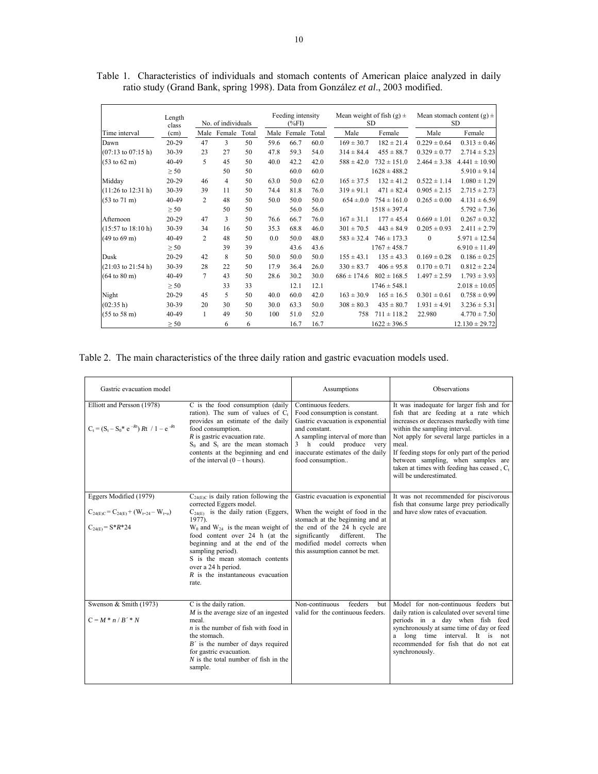|                                       | Length<br>class | No. of individuals |        |       | Feeding intensity<br>$(\%F1)$ |        | Mean weight of fish $(g)$ ±<br><b>SD</b> |                 | Mean stomach content (g) $\pm$<br><b>SD</b> |                  |                    |
|---------------------------------------|-----------------|--------------------|--------|-------|-------------------------------|--------|------------------------------------------|-----------------|---------------------------------------------|------------------|--------------------|
| Time interval                         | (cm)            | Male               | Female | Total | Male                          | Female | Total                                    | Male            | Female                                      | Male             | Female             |
| Dawn                                  | 20-29           | 47                 | 3      | 50    | 59.6                          | 66.7   | 60.0                                     | $169 \pm 30.7$  | $182 \pm 21.4$                              | $0.229 \pm 0.64$ | $0.313 \pm 0.46$   |
| $(07:13 \text{ to } 07:15 \text{ h})$ | 30-39           | 23                 | 27     | 50    | 47.8                          | 59.3   | 54.0                                     | $314 \pm 84.4$  | $455 \pm 88.7$                              | $0.329 \pm 0.77$ | $2.714 \pm 5.23$   |
| $(53 \text{ to } 62 \text{ m})$       | 40-49           | 5                  | 45     | 50    | 40.0                          | 42.2   | 42.0                                     | $588 \pm 42.0$  | $732 \pm 151.0$                             | $2.464 \pm 3.38$ | $4.441 \pm 10.90$  |
|                                       | $\geq 50$       |                    | 50     | 50    |                               | 60.0   | 60.0                                     |                 | $1628 \pm 488.2$                            |                  | $5.910 \pm 9.14$   |
| Midday                                | $20 - 29$       | 46                 | 4      | 50    | 63.0                          | 50.0   | 62.0                                     | $165 \pm 37.5$  | $132 \pm 41.2$                              | $0.522 \pm 1.14$ | $1.080 \pm 1.29$   |
| $(11:26 \text{ to } 12:31 \text{ h})$ | 30-39           | 39                 | 11     | 50    | 74.4                          | 81.8   | 76.0                                     | $319 \pm 91.1$  | $471 \pm 82.4$                              | $0.905 \pm 2.15$ | $2.715 \pm 2.73$   |
| $(53 \text{ to } 71 \text{ m})$       | 40-49           | 2                  | 48     | 50    | 50.0                          | 50.0   | 50.0                                     | $654 \pm 0.0$   | $754 \pm 161.0$                             | $0.265 \pm 0.00$ | $4.131 \pm 6.59$   |
|                                       | $\geq 50$       |                    | 50     | 50    |                               | 56.0   | 56.0                                     |                 | $1518 \pm 397.4$                            |                  | $5.792 \pm 7.36$   |
| Afternoon                             | 20-29           | 47                 | 3      | 50    | 76.6                          | 66.7   | 76.0                                     | $167 \pm 31.1$  | $177 \pm 45.4$                              | $0.669 \pm 1.01$ | $0.267 \pm 0.32$   |
| $(15:57 \text{ to } 18:10 \text{ h})$ | 30-39           | 34                 | 16     | 50    | 35.3                          | 68.8   | 46.0                                     | $301 \pm 70.5$  | $443 \pm 84.9$                              | $0.205 \pm 0.93$ | $2.411 \pm 2.79$   |
| $(49 \text{ to } 69 \text{ m})$       | 40-49           | $\overline{2}$     | 48     | 50    | 0.0                           | 50.0   | 48.0                                     | $583 \pm 32.4$  | $746 \pm 173.3$                             | $\theta$         | $5.971 \pm 12.54$  |
|                                       | $\geq 50$       |                    | 39     | 39    |                               | 43.6   | 43.6                                     |                 | $1767 \pm 458.7$                            |                  | $6.910 \pm 11.49$  |
| Dusk                                  | $20 - 29$       | 42                 | 8      | 50    | 50.0                          | 50.0   | 50.0                                     | $155 \pm 43.1$  | $135 \pm 43.3$                              | $0.169 \pm 0.28$ | $0.186 \pm 0.25$   |
| $(21:03$ to $21:54$ h)                | 30-39           | 28                 | 22     | 50    | 17.9                          | 36.4   | 26.0                                     | $330 \pm 83.7$  | $406 \pm 95.8$                              | $0.170 \pm 0.71$ | $0.812 \pm 2.24$   |
| $(64 \text{ to } 80 \text{ m})$       | 40-49           | 7                  | 43     | 50    | 28.6                          | 30.2   | 30.0                                     | $686 \pm 174.6$ | $802 \pm 168.5$                             | $1.497 \pm 2.59$ | $1.793 \pm 3.93$   |
|                                       | $\geq 50$       |                    | 33     | 33    |                               | 12.1   | 12.1                                     |                 | $1746 \pm 548.1$                            |                  | $2.018 \pm 10.05$  |
| Night                                 | $20 - 29$       | 45                 | 5      | 50    | 40.0                          | 60.0   | 42.0                                     | $163 \pm 30.9$  | $165 \pm 16.5$                              | $0.301 \pm 0.61$ | $0.758 \pm 0.99$   |
| (02:35 h)                             | 30-39           | 20                 | 30     | 50    | 30.0                          | 63.3   | 50.0                                     | $308 \pm 80.3$  | $435 \pm 80.7$                              | $1.931 \pm 4.91$ | $3.236 \pm 5.31$   |
| $(55 \text{ to } 58 \text{ m})$       | 40-49           | $\mathbf{1}$       | 49     | 50    | 100                           | 51.0   | 52.0                                     | 758             | $711 \pm 118.2$                             | 22.980           | $4.770 \pm 7.50$   |
|                                       | $\geq 50$       |                    | 6      | 6     |                               | 16.7   | 16.7                                     |                 | $1622 \pm 396.5$                            |                  | $12.130 \pm 29.72$ |

Table 1. Characteristics of individuals and stomach contents of American plaice analyzed in daily ratio study (Grand Bank, spring 1998). Data from González *et al*., 2003 modified.

# Table 2. The main characteristics of the three daily ration and gastric evacuation models used.

| Gastric evacuation model                                                                              |                                                                                                                                                                                                                                                                                                                                                                               | Assumptions                                                                                                                                                                                                                                     | <b>Observations</b>                                                                                                                                                                                                                                                                                                                                                                                |
|-------------------------------------------------------------------------------------------------------|-------------------------------------------------------------------------------------------------------------------------------------------------------------------------------------------------------------------------------------------------------------------------------------------------------------------------------------------------------------------------------|-------------------------------------------------------------------------------------------------------------------------------------------------------------------------------------------------------------------------------------------------|----------------------------------------------------------------------------------------------------------------------------------------------------------------------------------------------------------------------------------------------------------------------------------------------------------------------------------------------------------------------------------------------------|
| Elliott and Persson (1978)<br>$C_t = (S_t - S_0^* e^{-Rt}) Rt / 1 - e^{-Rt}$                          | C is the food consumption (daily<br>ration). The sum of values of $C_t$<br>provides an estimate of the daily<br>food consumption.<br>$R$ is gastric evacuation rate.<br>$S_0$ and $S_t$ are the mean stomach<br>contents at the beginning and end<br>of the interval $(0 - t$ hours).                                                                                         | Continuous feeders.<br>Food consumption is constant.<br>Gastric evacuation is exponential<br>and constant.<br>A sampling interval of more than<br>3 h could produce very<br>inaccurate estimates of the daily<br>food consumption               | It was inadequate for larger fish and for<br>fish that are feeding at a rate which<br>increases or decreases markedly with time<br>within the sampling interval.<br>Not apply for several large particles in a<br>meal.<br>If feeding stops for only part of the period<br>between sampling, when samples are<br>taken at times with feeding has ceased, C <sub>t</sub><br>will be underestimated. |
| Eggers Modified (1979)<br>$C_{24(E)C} = C_{24(E)} + (W_{t=24} - W_{t=0})$<br>$C_{24(F)} = S^* R^* 24$ | $C_{24(E)C}$ is daily ration following the<br>corrected Eggers model.<br>$C_{24(E)}$ is the daily ration (Eggers,<br>$1977$ ).<br>$W_0$ and $W_{24}$ is the mean weight of<br>food content over 24 h (at the<br>beginning and at the end of the<br>sampling period).<br>S is the mean stomach contents<br>over a 24 h period.<br>$R$ is the instantaneous evacuation<br>rate. | Gastric evacuation is exponential<br>When the weight of food in the<br>stomach at the beginning and at<br>the end of the 24 h cycle are<br>significantly<br>different.<br>The<br>modified model corrects when<br>this assumption cannot be met. | It was not recommended for piscivorous<br>fish that consume large prey periodically<br>and have slow rates of evacuation.                                                                                                                                                                                                                                                                          |
| Swenson & Smith (1973)<br>$C = M * n / B' * N$                                                        | C is the daily ration.<br>$M$ is the average size of an ingested<br>meal.<br>$n$ is the number of fish with food in<br>the stomach.<br>$B'$ is the number of days required<br>for gastric evacuation.<br>$N$ is the total number of fish in the<br>sample.                                                                                                                    | Non-continuous<br>feeders<br><b>but</b><br>valid for the continuous feeders.                                                                                                                                                                    | Model for non-continuous feeders but<br>daily ration is calculated over several time<br>periods in a day when fish feed<br>synchronously at same time of day or feed<br>a long time interval. It is<br>not<br>recommended for fish that do not eat<br>synchronously.                                                                                                                               |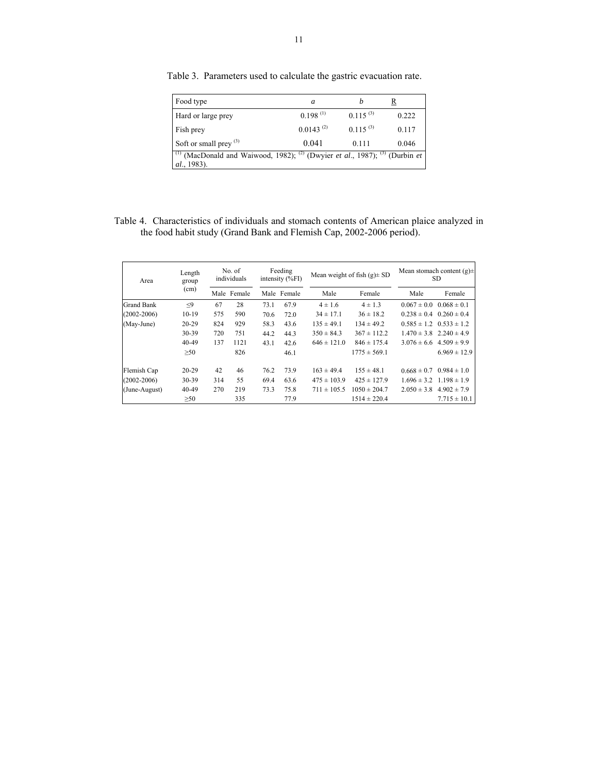| Food type                                                                                                                                           | a              |               | R     |
|-----------------------------------------------------------------------------------------------------------------------------------------------------|----------------|---------------|-------|
| Hard or large prey                                                                                                                                  | 0.198(1)       | $0.115^{(3)}$ | 0.222 |
| Fish prey                                                                                                                                           | $0.0143^{(2)}$ | $0.115^{(3)}$ | 0.117 |
| Soft or small prey $(3)$                                                                                                                            | 0.041          | 0.111         | 0.046 |
| <sup>(1)</sup> (MacDonald and Waiwood, 1982); <sup>(2)</sup> (Dwyier <i>et al.</i> , 1987); <sup>(3)</sup> (Durbin <i>et</i><br><i>al.</i> , 1983). |                |               |       |

Table 3. Parameters used to calculate the gastric evacuation rate.

Table 4. Characteristics of individuals and stomach contents of American plaice analyzed in the food habit study (Grand Bank and Flemish Cap, 2002-2006 period).

| Area              | Length<br>group | No. of<br>individuals |        | Feeding<br>intensity $(\%F)$ |             |                 | Mean weight of fish $(g) \pm SD$ | Mean stomach content $(g) \pm$<br>SD. |                                 |  |
|-------------------|-----------------|-----------------------|--------|------------------------------|-------------|-----------------|----------------------------------|---------------------------------------|---------------------------------|--|
|                   | (cm)            | Male                  | Female |                              | Male Female | Male            | Female                           | Male                                  | Female                          |  |
| <b>Grand Bank</b> | $<$ 9           | 67                    | 28     | 73.1                         | 67.9        | $4 \pm 1.6$     | $4 \pm 1.3$                      | $0.067 \pm 0.0$                       | $0.068 \pm 0.1$                 |  |
| $(2002 - 2006)$   | $10-19$         | 575                   | 590    | 70.6                         | 72.0        | $34 \pm 17.1$   | $36 \pm 18.2$                    |                                       | $0.238 \pm 0.4$ $0.260 \pm 0.4$ |  |
| (May-June)        | $20 - 29$       | 824                   | 929    | 58.3                         | 43.6        | $135 \pm 49.1$  | $134 \pm 49.2$                   | $0.585 \pm 1.2$                       | $0.533 \pm 1.2$                 |  |
|                   | 30-39           | 720                   | 751    | 44.2                         | 44.3        | $350 \pm 84.3$  | $367 \pm 112.2$                  |                                       | $1.470 \pm 3.8$ $2.240 \pm 4.9$ |  |
|                   | 40-49           | 137                   | 1121   | 43.1                         | 42.6        | $646 \pm 121.0$ | $846 \pm 175.4$                  | $3.076 \pm 6.6$                       | $4.509 \pm 9.9$                 |  |
|                   | $\geq 50$       |                       | 826    |                              | 46.1        |                 | $1775 \pm 569.1$                 |                                       | $6.969 \pm 12.9$                |  |
| Flemish Cap       | $20 - 29$       | 42                    | 46     | 76.2                         | 73.9        | $163 \pm 49.4$  | $155 \pm 48.1$                   | $0.668 \pm 0.7$                       | $0.984 \pm 1.0$                 |  |
| $(2002 - 2006)$   | 30-39           | 314                   | 55     | 69.4                         | 63.6        | $475 \pm 103.9$ | $425 \pm 127.9$                  | $1.696 \pm 3.2$                       | $1.198 \pm 1.9$                 |  |
| (June-August)     | 40-49           | 270                   | 219    | 73.3                         | 75.8        | $711 \pm 105.5$ | $1050 \pm 204.7$                 | $2.050 \pm 3.8$                       | $4.902 \pm 7.9$                 |  |
|                   | $\geq 50$       |                       | 335    |                              | 77.9        |                 | $1514 \pm 220.4$                 |                                       | $7.715 \pm 10.1$                |  |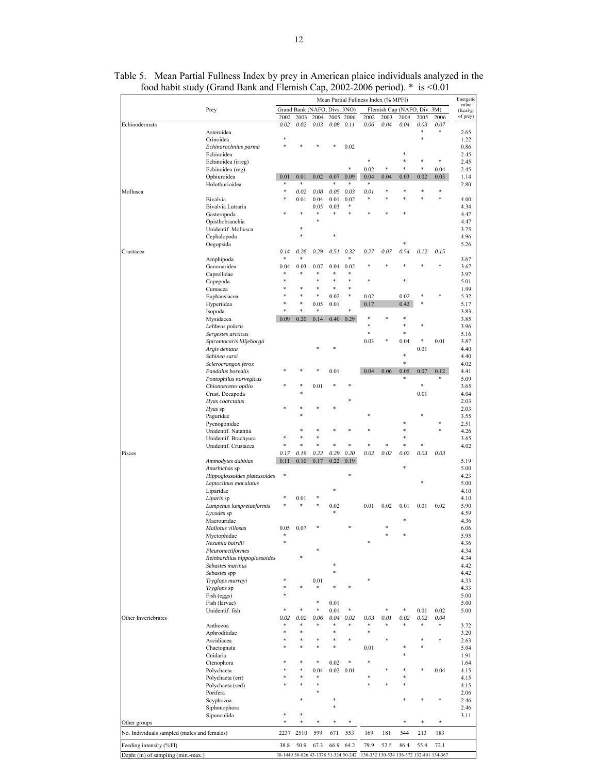|                                             |                                          |           |              |                   |                   | Mean Partial Fullness Index (% MPFI) |                |      |                         |           |                |
|---------------------------------------------|------------------------------------------|-----------|--------------|-------------------|-------------------|--------------------------------------|----------------|------|-------------------------|-----------|----------------|
|                                             | Prey                                     |           |              | Grand Bank (NAFO, | Divs. 3NO)        |                                      |                |      | Flemish Cap (NAFO, Div. |           | 3M)            |
|                                             |                                          | 2002      | 2003         | 2004              | 2005              | 2006                                 | 2002           | 2003 | 2004                    | 2005      | 2006           |
| Echinodermata                               | Asteroidea                               | 0.02      | 0.02         | 0.03              | 0.08              | 0.11                                 | 0.06           | 0.04 | 0.04                    | 0.03      | 0.07           |
|                                             | Crinoidea                                | *         |              |                   |                   |                                      |                |      |                         | ×.        |                |
|                                             | Echinarachnius parma                     |           |              |                   |                   | 0.02                                 |                |      |                         |           |                |
|                                             | Echinoidea                               |           |              |                   |                   |                                      |                |      |                         |           |                |
|                                             | Echinoidea (irreg)                       |           |              |                   |                   |                                      |                |      |                         |           | *              |
|                                             | Echinoidea (reg)                         |           |              |                   |                   | $\ast$                               | 0.02           | *    |                         | *         | 0.04           |
|                                             | Ophiuroidea                              | 0.01      | 0.01         | 0.02              | 0.07              | 0.09                                 | 0.04           | 0.04 | 0.03                    | 0.02      | 0.03           |
|                                             | Holothurioidea                           | *<br>*    | \$           |                   | ×.                | *                                    | $\ast$         | *    | $\ast$                  | $\ast$    | $\ast$         |
| Mollusca                                    | Bivalvia                                 | *         | 0.02<br>0.01 | 0.08<br>0.04      | 0.05<br>0.01      | 0.03<br>0.02                         | 0.01<br>$\ast$ |      |                         |           | \$             |
|                                             | Bivalvia Lutraria                        |           |              | 0.05              | 0.03              | *                                    |                |      |                         |           |                |
|                                             | Gasteropoda                              |           | ÷            | *                 | Ń.                | ś                                    |                |      |                         |           |                |
|                                             | Opisthobranchia                          |           |              |                   |                   |                                      |                |      |                         |           |                |
|                                             | Unidentif. Mollusca                      |           | ÷            |                   |                   |                                      |                |      |                         |           |                |
|                                             | Cephalopoda                              |           | ÷            |                   |                   |                                      |                |      |                         |           |                |
|                                             | Oegopsida                                |           |              |                   |                   |                                      |                |      |                         |           |                |
| Crustacea                                   |                                          | 0.14      | 0.26         | 0.29              | 0.51              | 0.32                                 | 0.27           | 0.07 | 0.54                    | 0.12      | 0.15           |
|                                             | Amphipoda                                | *         | ÷            |                   |                   | *                                    |                |      |                         |           |                |
|                                             | Gammaridea                               | 0.04<br>* | 0.03<br>字    | 0.07<br>冰         | 0.04              | 0.02<br>÷                            |                |      |                         |           |                |
|                                             | Caprellidae                              | \$        |              | ×,                |                   | \$                                   | \$             |      | *                       |           |                |
|                                             | Copepoda<br>Cumacea                      | ₩         |              |                   |                   | ÷                                    |                |      |                         |           |                |
|                                             | Euphausiacea                             | ş         | \$           | *                 | 0.02              | \$                                   | 0.02           |      | 0.02                    |           |                |
|                                             | Hyperiidea                               | ¥         | ÷            | 0.05              | 0.01              |                                      | 0.17           |      | 0.42                    |           |                |
|                                             | Isopoda                                  | *         | ÷            | ÷                 |                   |                                      |                |      |                         |           |                |
|                                             | Mysidacea                                | 0.09      | 0.20         | 0.14              | 0.40              | 0.29                                 | *              |      |                         |           |                |
|                                             | Lebbeus polaris                          |           |              |                   |                   |                                      |                |      | *                       |           |                |
|                                             | Sergestes arcticus                       |           |              |                   |                   |                                      | ÷              |      |                         |           |                |
|                                             | Spirontocaris lilljeborgii               |           |              |                   |                   |                                      | 0.03           |      | 0.04                    | *         | 0.01           |
|                                             | Argis dentata                            |           |              |                   |                   |                                      |                |      | \$                      | 0.01      |                |
|                                             | Sabinea sarsi                            |           |              |                   |                   |                                      |                |      | ×                       |           |                |
|                                             | Sclerocrangon ferox<br>Pandalus borealis |           |              |                   | 0.01              |                                      | 0.04           | 0.06 | 0.05                    | 0.07      | 0.12           |
|                                             | Pontophilus norvegicus                   |           |              |                   |                   |                                      |                |      | *                       |           |                |
|                                             | Chionoecetes opilio                      |           |              | 0.01              |                   |                                      |                |      |                         | *         |                |
|                                             | Crust. Decapoda                          |           |              |                   |                   |                                      |                |      |                         | 0.01      |                |
|                                             | Hyas coarctatus                          |           |              |                   |                   |                                      |                |      |                         |           |                |
|                                             | Hyas sp                                  |           |              |                   |                   |                                      |                |      |                         |           |                |
|                                             | Paguridae                                |           |              |                   |                   |                                      |                |      |                         |           |                |
|                                             | Pycnogonidae                             |           |              |                   |                   |                                      |                |      |                         |           |                |
|                                             | Unidentif. Natantia                      |           |              |                   |                   |                                      |                |      |                         |           |                |
|                                             | Unidentif. Brachyura                     | ş         | ś            | ×.                |                   | \$                                   |                |      |                         | ×,        |                |
| Pisces                                      | Unidentif. Crustacea                     | 0.17      | 0.19         | 0.22              | 0.29              | 0.20                                 | 0.02           | 0.02 | 0.02                    | 0.03      | 0.03           |
|                                             | Ammodytes dubbius                        | 0.11      | 0.10         | 0.17              | 0.22              | 0.19                                 |                |      |                         |           |                |
|                                             | Anarhichas sp                            |           |              |                   |                   |                                      |                |      |                         |           |                |
|                                             | Hippoglossoides platessoides             | $\ast$    |              |                   |                   |                                      |                |      |                         |           |                |
|                                             | Leptoclinus maculatus                    |           |              |                   |                   |                                      |                |      |                         |           |                |
|                                             | Liparidae                                |           |              |                   |                   |                                      |                |      |                         |           |                |
|                                             | Liparis sp                               |           | 0.01         |                   |                   |                                      |                |      |                         |           |                |
|                                             | Lumpenus lumpretaeformis                 |           |              |                   | 0.02              |                                      | 0.01           | 0.02 | 0.01                    | 0.01      | 0.02           |
|                                             | Lycodes sp                               |           |              |                   |                   |                                      |                |      |                         |           |                |
|                                             | Macrouridae                              |           |              |                   |                   |                                      |                |      |                         |           |                |
|                                             | Mallotus villosus                        | 0.05<br>* | 0.07         |                   |                   |                                      |                |      |                         |           |                |
|                                             | Myctophidae<br>Nezumia bairdii           | *         |              |                   |                   |                                      |                |      |                         |           |                |
|                                             | Pleuronectiformes                        |           |              |                   |                   |                                      |                |      |                         |           |                |
|                                             | Reinhardtius hippoglossoides             |           |              |                   |                   |                                      |                |      |                         |           |                |
|                                             | Sebastes marinus                         |           |              |                   |                   |                                      |                |      |                         |           |                |
|                                             | Sebastes spp                             |           |              |                   |                   |                                      |                |      |                         |           |                |
|                                             | Tryglops murrayi                         |           |              | 0.01              |                   |                                      |                |      |                         |           |                |
|                                             | Tryglops sp                              | ÷         |              |                   |                   |                                      |                |      |                         |           |                |
|                                             | Fish (eggs)                              | *         |              |                   |                   |                                      |                |      |                         |           |                |
|                                             | Fish (larvae)                            |           |              |                   | 0.01              |                                      |                |      |                         |           |                |
|                                             | Unidentif. fish                          |           |              | *                 | 0.01              | *                                    |                |      | *                       | 0.01      | 0.02           |
| Other Invertebrates                         |                                          | 0.02      | 0.02         | 0.06              | 0.04              | 0.02<br>*                            | 0.03<br>*      | 0.01 | 0.02                    | 0.02<br>* | 0.04<br>$\ast$ |
|                                             | Anthozoa                                 | *         |              |                   |                   |                                      | *              |      |                         |           |                |
|                                             | Aphroditidae<br>Ascidiacea               |           |              |                   |                   | ÷                                    |                |      |                         |           | *              |
|                                             | Chaetognata                              |           |              |                   |                   |                                      | 0.01           |      |                         |           |                |
|                                             | Cnidaria                                 |           |              |                   |                   |                                      |                |      |                         |           |                |
|                                             | Ctenophora                               |           | ÷            | *                 | 0.02              | *                                    | *              |      |                         |           |                |
|                                             | Polychaeta                               |           | ÷            | 0.04              | $0.02 \quad 0.01$ |                                      |                |      |                         |           | 0.04           |
|                                             | Polychaeta (err)                         |           |              |                   |                   |                                      |                |      |                         |           |                |
|                                             | Polychaeta (sed)                         |           |              |                   |                   |                                      |                |      |                         |           |                |
|                                             | Porifera                                 |           |              |                   |                   |                                      |                |      |                         |           |                |
|                                             |                                          |           |              |                   |                   |                                      |                |      |                         |           |                |
|                                             | Scyphozoa                                |           |              |                   |                   |                                      |                |      |                         |           |                |
|                                             | Siphonophora                             |           |              |                   |                   |                                      |                |      |                         |           |                |
|                                             | Sipunculida                              | *         |              |                   |                   |                                      |                |      |                         |           |                |
| Other groups                                |                                          | $\ast$    | $\ast$       | *                 | *                 | *                                    |                |      | *                       | *         | $\ast$         |
| No. Individuals sampled (males and females) |                                          | 2237      | 2510         | 599               | 671               | 553                                  | 169            | 181  | 544                     | 213       | 183            |

| Table 5. Mean Partial Fullness Index by prey in American plaice individuals analyzed in the |  |  |  |  |
|---------------------------------------------------------------------------------------------|--|--|--|--|
| food habit study (Grand Bank and Flemish Cap, 2002-2006 period). $*$ is <0.01               |  |  |  |  |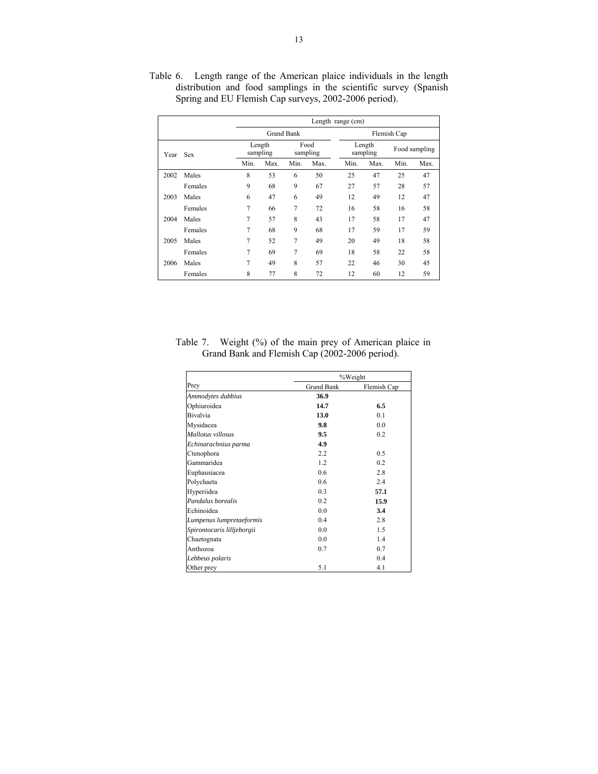|      |            |      | Length range (cm)  |                   |                  |      |                    |               |      |  |  |  |
|------|------------|------|--------------------|-------------------|------------------|------|--------------------|---------------|------|--|--|--|
|      |            |      |                    | <b>Grand Bank</b> |                  |      |                    | Flemish Cap   |      |  |  |  |
| Year | <b>Sex</b> |      | Length<br>sampling |                   | Food<br>sampling |      | Length<br>sampling | Food sampling |      |  |  |  |
|      |            | Min. | Max.               | Min.              | Max.             | Min. | Max.               | Min.          | Max. |  |  |  |
| 2002 | Males      | 8    | 53                 | 6                 | 50               | 25   | 47                 | 25            | 47   |  |  |  |
|      | Females    | 9    | 68                 | 9                 | 67               | 27   | 57                 | 28            | 57   |  |  |  |
| 2003 | Males      | 6    | 47                 | 6                 | 49               | 12   | 49                 | 12            | 47   |  |  |  |
|      | Females    | 7    | 66                 | 7                 | 72               | 16   | 58                 | 16            | 58   |  |  |  |
| 2004 | Males      | 7    | 57                 | 8                 | 43               | 17   | 58                 | 17            | 47   |  |  |  |
|      | Females    | 7    | 68                 | 9                 | 68               | 17   | 59                 | 17            | 59   |  |  |  |
| 2005 | Males      | 7    | 52                 | 7                 | 49               | 20   | 49                 | 18            | 58   |  |  |  |
|      | Females    | 7    | 69                 | 7                 | 69               | 18   | 58                 | 22            | 58   |  |  |  |
| 2006 | Males      | 7    | 49                 | 8                 | 57               | 22   | 46                 | 30            | 45   |  |  |  |
|      | Females    | 8    | 77                 | 8                 | 72               | 12   | 60                 | 12            | 59   |  |  |  |

Table 6. Length range of the American plaice individuals in the length distribution and food samplings in the scientific survey (Spanish Spring and EU Flemish Cap surveys, 2002-2006 period).

Table 7. Weight (%) of the main prey of American plaice in Grand Bank and Flemish Cap (2002-2006 period).

|                            | %Weight           |             |  |  |  |
|----------------------------|-------------------|-------------|--|--|--|
| Prey                       | <b>Grand Bank</b> | Flemish Cap |  |  |  |
| Ammodytes dubbius          | 36.9              |             |  |  |  |
| Ophiuroidea                | 14.7              | 6.5         |  |  |  |
| <b>Bivalvia</b>            | 13.0              | 0.1         |  |  |  |
| Mysidacea                  | 9.8               | 0.0         |  |  |  |
| Mallotus villosus          | 9.5               | 0.2         |  |  |  |
| Echinarachnius parma       | 4.9               |             |  |  |  |
| Ctenophora                 | 22                | 0.5         |  |  |  |
| Gammaridea                 | 1.2               | 0.2         |  |  |  |
| Euphausiacea               | 0.6               | 2.8         |  |  |  |
| Polychaeta                 | 0.6               | 2.4         |  |  |  |
| Hyperiidea                 | 0.3               | 57.1        |  |  |  |
| Pandalus borealis          | 0.2               | 15.9        |  |  |  |
| Echinoidea                 | 0.0               | 3.4         |  |  |  |
| Lumpenus lumpretaeformis   | 0.4               | 2.8         |  |  |  |
| Spirontocaris lilljeborgii | 0.0               | 1.5         |  |  |  |
| Chaetognata                | 0.0               | 14          |  |  |  |
| Anthozoa                   | 0.7               | 0.7         |  |  |  |
| Lebbeus polaris            |                   | 0.4         |  |  |  |
| Other prey                 | 5.1               | 4.1         |  |  |  |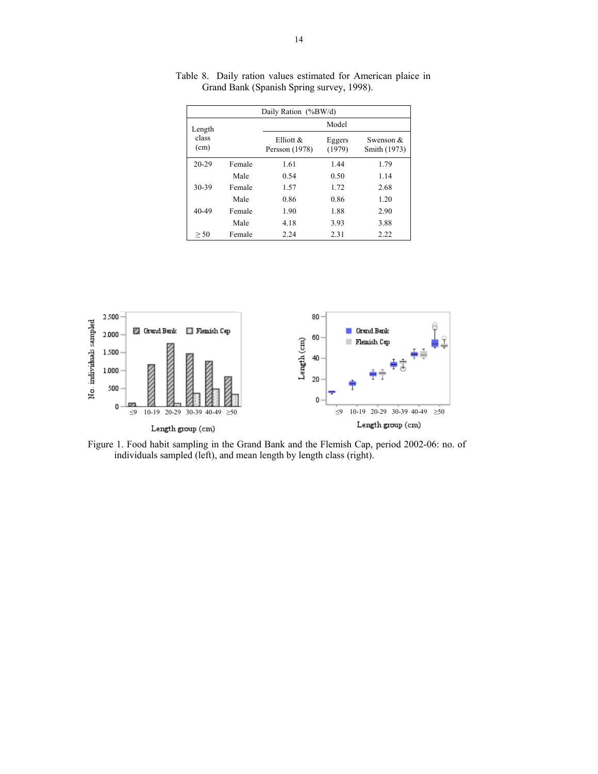| Daily Ration (%BW/d) |        |                                |                  |                             |  |  |  |  |
|----------------------|--------|--------------------------------|------------------|-----------------------------|--|--|--|--|
| Length               |        |                                | Model            |                             |  |  |  |  |
| class<br>(cm)        |        | Elliott $\&$<br>Persson (1978) | Eggers<br>(1979) | Swenson $&$<br>Smith (1973) |  |  |  |  |
| $20 - 29$            | Female | 1.61                           | 1.44             | 1.79                        |  |  |  |  |
|                      | Male   | 0.54                           | 0.50             | 1.14                        |  |  |  |  |
| 30-39                | Female | 1.57                           | 1.72             | 2.68                        |  |  |  |  |
|                      | Male   | 0.86                           | 0.86             | 1.20                        |  |  |  |  |
| 40-49                | Female | 1.90                           | 1.88             | 2.90                        |  |  |  |  |
|                      | Male   | 4.18                           | 3.93             | 3.88                        |  |  |  |  |
| > 50                 | Female | 2.24                           | 2.31             | 2.22                        |  |  |  |  |

Table 8. Daily ration values estimated for American plaice in Grand Bank (Spanish Spring survey, 1998).



Figure 1. Food habit sampling in the Grand Bank and the Flemish Cap, period 2002-06: no. of individuals sampled (left), and mean length by length class (right).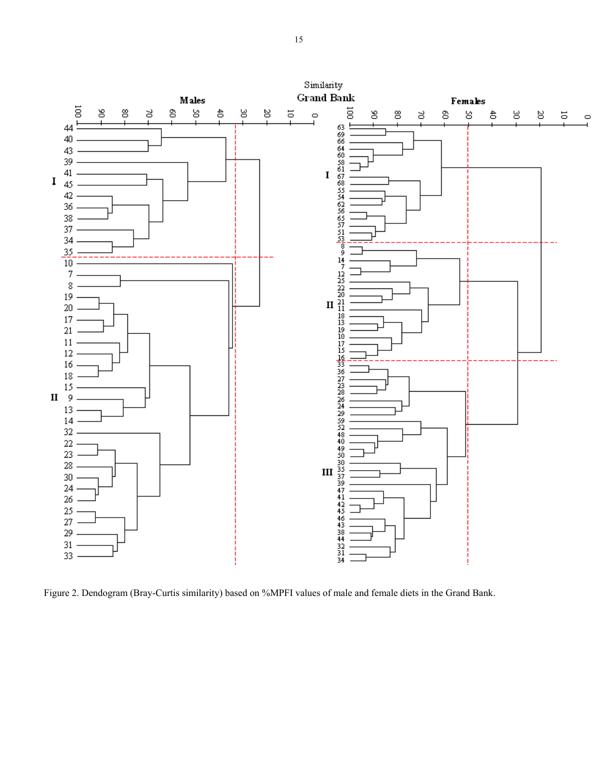

Figure 2. Dendogram (Bray-Curtis similarity) based on %MPFI values of male and female diets in the Grand Bank.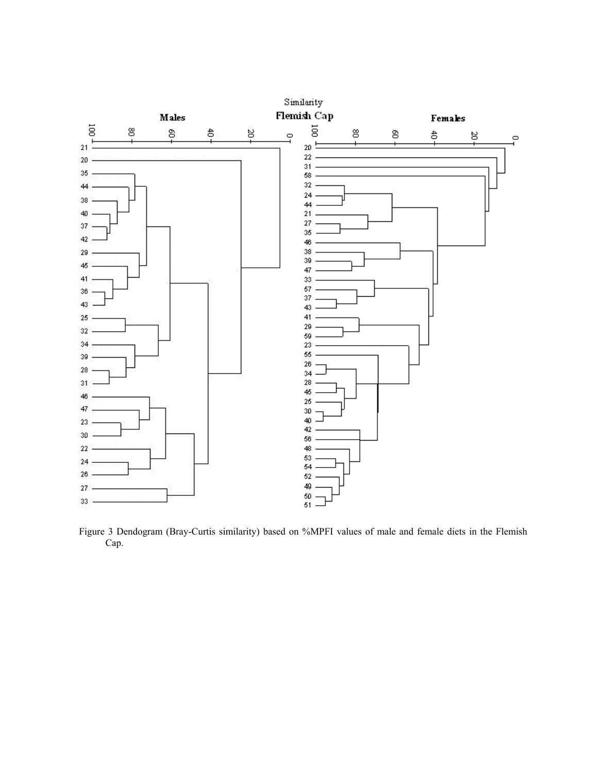

Figure 3 Dendogram (Bray-Curtis similarity) based on %MPFI values of male and female diets in the Flemish Cap.